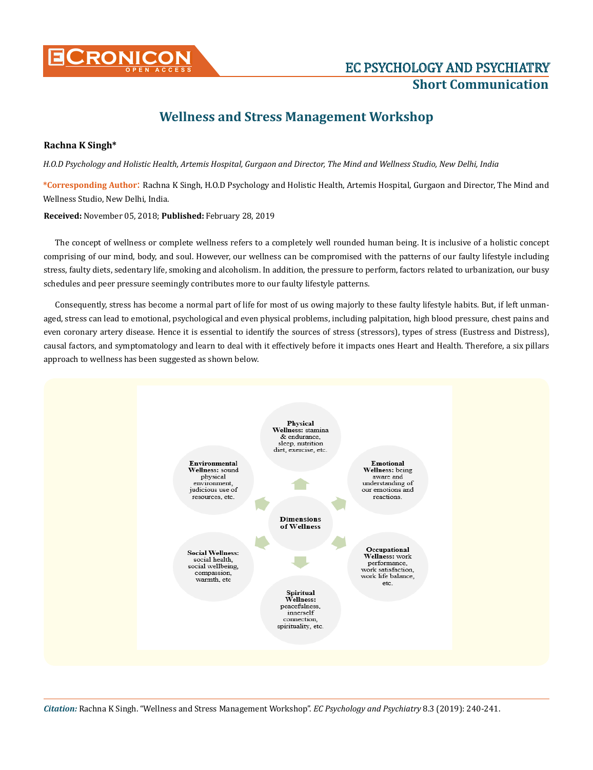

# **Short Communication**

# **Wellness and Stress Management Workshop**

## **Rachna K Singh\***

*H.O.D Psychology and Holistic Health, Artemis Hospital, Gurgaon and Director, The Mind and Wellness Studio, New Delhi, India*

**\*Corresponding Author**: Rachna K Singh, H.O.D Psychology and Holistic Health, Artemis Hospital, Gurgaon and Director, The Mind and Wellness Studio, New Delhi, India.

**Received:** November 05, 2018; **Published:** February 28, 2019

The concept of wellness or complete wellness refers to a completely well rounded human being. It is inclusive of a holistic concept comprising of our mind, body, and soul. However, our wellness can be compromised with the patterns of our faulty lifestyle including stress, faulty diets, sedentary life, smoking and alcoholism. In addition, the pressure to perform, factors related to urbanization, our busy schedules and peer pressure seemingly contributes more to our faulty lifestyle patterns.

Consequently, stress has become a normal part of life for most of us owing majorly to these faulty lifestyle habits. But, if left unmanaged, stress can lead to emotional, psychological and even physical problems, including palpitation, high blood pressure, chest pains and even coronary artery disease. Hence it is essential to identify the sources of stress (stressors), types of stress (Eustress and Distress), causal factors, and symptomatology and learn to deal with it effectively before it impacts ones Heart and Health. Therefore, a six pillars approach to wellness has been suggested as shown below.



*Citation:* Rachna K Singh. "Wellness and Stress Management Workshop". *EC Psychology and Psychiatry* 8.3 (2019): 240-241.